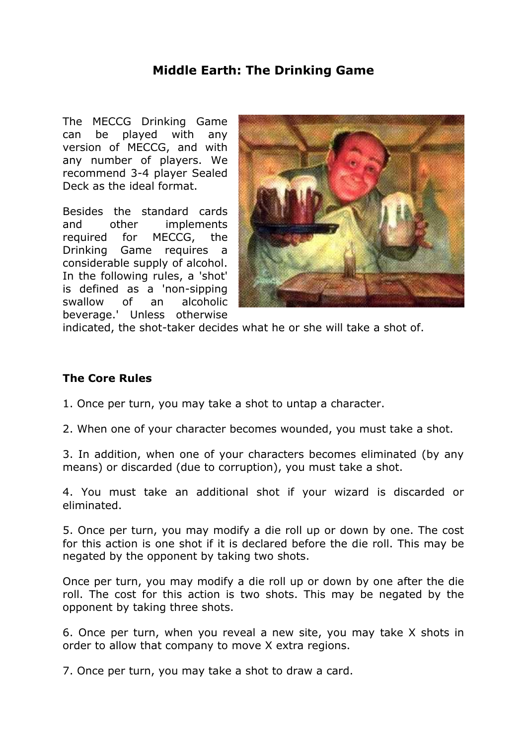## **Middle Earth: The Drinking Game**

The MECCG Drinking Game can be played with any version of MECCG, and with any number of players. We recommend 3-4 player Sealed Deck as the ideal format.

Besides the standard cards and other implements required for MECCG, the Drinking Game requires a considerable supply of alcohol. In the following rules, a 'shot' is defined as a 'non-sipping swallow of an alcoholic beverage.' Unless otherwise



indicated, the shot-taker decides what he or she will take a shot of.

## **The Core Rules**

- 1. Once per turn, you may take a shot to untap a character.
- 2. When one of your character becomes wounded, you must take a shot.

3. In addition, when one of your characters becomes eliminated (by any means) or discarded (due to corruption), you must take a shot.

4. You must take an additional shot if your wizard is discarded or eliminated.

5. Once per turn, you may modify a die roll up or down by one. The cost for this action is one shot if it is declared before the die roll. This may be negated by the opponent by taking two shots.

Once per turn, you may modify a die roll up or down by one after the die roll. The cost for this action is two shots. This may be negated by the opponent by taking three shots.

6. Once per turn, when you reveal a new site, you may take X shots in order to allow that company to move X extra regions.

7. Once per turn, you may take a shot to draw a card.